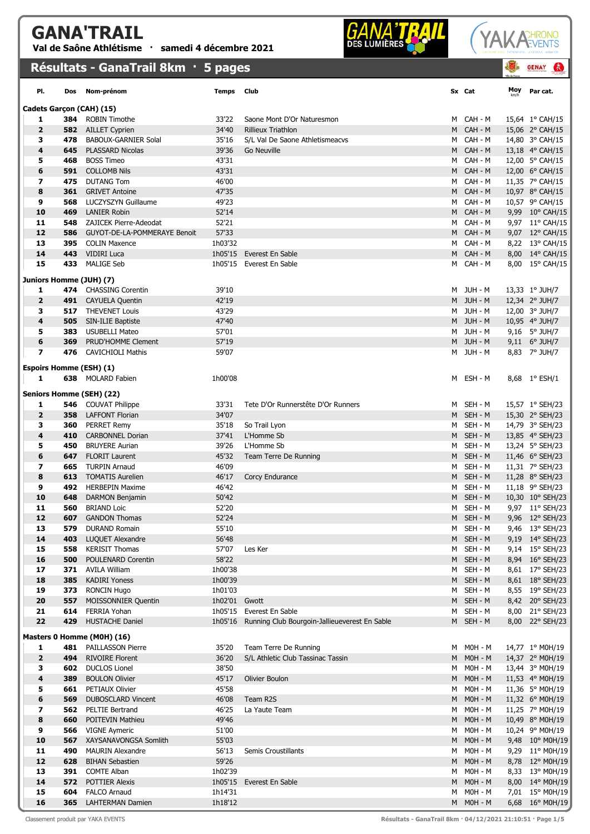## GANA'TRAIL Val de Saône Athlétisme · samedi 4 décembre 2021





|                                     |            | Résultats - GanaTrail 8km · 5 pages      |                |                                                       |        |                    |     | <b>GENAY</b><br>G.                  |
|-------------------------------------|------------|------------------------------------------|----------------|-------------------------------------------------------|--------|--------------------|-----|-------------------------------------|
| PI.                                 | Dos        | Nom-prénom                               | <b>Temps</b>   | Club                                                  |        | Sx Cat             | Moy | Par cat.                            |
|                                     |            | Cadets Garçon (CAH) (15)                 |                |                                                       |        |                    |     |                                     |
| 1                                   |            | <b>384</b> ROBIN Timothe                 | 33'22          | Saone Mont D'Or Naturesmon                            | M      | CAH - M            |     | 15,64 1° CAH/15                     |
| $\overline{2}$                      |            | <b>582</b> AILLET Cyprien                | 34'40          | <b>Rillieux Triathlon</b>                             | M      | CAH - M            |     | 15,06 2° CAH/15                     |
| з                                   | 478        | <b>BABOUX-GARNIER Solal</b>              | 35'16          | S/L Val De Saone Athletismeacvs                       | М      | CAH - M            |     | 14,80 3° CAH/15                     |
| 4                                   | 645        | <b>PLASSARD Nicolas</b>                  | 39'36          | Go Neuville                                           | M      | CAH - M            |     | 13,18 4° CAH/15                     |
| 5                                   | 468        | <b>BOSS Timeo</b>                        | 43'31          |                                                       | м      | CAH - M            |     | 12,00 5° CAH/15                     |
| 6<br>$\overline{ }$                 | 591<br>475 | <b>COLLOMB Nils</b><br><b>DUTANG Tom</b> | 43'31<br>46'00 |                                                       | M<br>м | CAH - M<br>CAH - M |     | 12,00 6° CAH/15<br>11,35 7° CAH/15  |
| 8                                   | 361        | <b>GRIVET Antoine</b>                    | 47'35          |                                                       | M      | CAH - M            |     | 10,97 8° CAH/15                     |
| 9                                   | 568        | <b>LUCZYSZYN Guillaume</b>               | 49'23          |                                                       | M      | CAH - M            |     | 10,57 9° CAH/15                     |
| 10                                  | 469        | <b>LANIER Robin</b>                      | 52'14          |                                                       | M      | CAH - M            |     | 9,99 10° CAH/15                     |
| 11                                  | 548        | ZAJICEK Pierre-Adeodat                   | 52'21          |                                                       | M      | CAH - M            |     | 9,97 11° CAH/15                     |
| 12                                  | 586        | GUYOT-DE-LA-POMMERAYE Benoit             | 57'33          |                                                       | M      | CAH - M            |     | 9,07 12° CAH/15                     |
| 13                                  | 395        | <b>COLIN Maxence</b>                     | 1h03'32        |                                                       | M      | CAH - M            |     | 8,22 13° CAH/15                     |
| 14                                  | 443        | <b>VIDIRI Luca</b>                       | 1h05'15        | Everest En Sable                                      | M      | CAH - M            |     | 8,00 14° CAH/15                     |
| 15                                  | 433        | <b>MALIGE Seb</b>                        |                | 1h05'15 Everest En Sable                              | M      | CAH - M            |     | 8,00 15° CAH/15                     |
| Juniors Homme (JUH) (7)             |            |                                          |                |                                                       |        |                    |     |                                     |
| 1                                   |            | 474 CHASSING Corentin                    | 39'10          |                                                       |        | M JUH-M            |     | 13,33 1° JUH/7                      |
| $\overline{2}$                      |            | 491 CAYUELA Quentin                      | 42'19          |                                                       |        | M JUH-M            |     | 12,34 2° JUH/7                      |
| з                                   |            | <b>517</b> THEVENET Louis                | 43'29          |                                                       | M      | JUH - M            |     | 12,00 3° JUH/7                      |
| 4                                   | 505        | SIN-ILIE Baptiste                        | 47'40          |                                                       |        | M JUH-M            |     | 10,95 4° JUH/7                      |
| 5                                   | 383        | USUBELLI Mateo                           | 57'01          |                                                       | M      | JUH - M            |     | 9,16 $5^{\circ}$ JUH/7              |
| 6                                   | 369        | PRUD'HOMME Clement                       | 57'19          |                                                       |        | M JUH-M            |     | 9,11 6° JUH/7                       |
| $\overline{ }$                      | 476        | <b>CAVICHIOLI Mathis</b>                 | 59'07          |                                                       | M      | JUH - M            |     | 8,83 7° JUH/7                       |
| <b>Espoirs Homme (ESH) (1)</b><br>1 |            | 638 MOLARD Fabien                        | 1h00'08        |                                                       | M      | ESH - M            |     | 8,68 1° ESH/1                       |
|                                     |            | Seniors Homme (SEH) (22)                 |                |                                                       |        |                    |     |                                     |
| 1                                   |            | <b>546</b> COUVAT Philippe               | 33'31          | Tete D'Or Runnerstête D'Or Runners                    |        | M SEH-M            |     | 15,57 1° SEH/23                     |
| 2                                   | 358        | <b>LAFFONT Florian</b>                   | 34'07          |                                                       | M      | SEH - M            |     | 15,30 2° SEH/23                     |
| з                                   | 360        | <b>PERRET Remy</b>                       | 35'18          | So Trail Lyon                                         | M      | SEH - M            |     | 14,79 3° SEH/23                     |
| 4                                   | 410        | <b>CARBONNEL Dorian</b>                  | 37'41          | L'Homme Sb                                            | M      | SEH - M            |     | 13,85 4° SEH/23                     |
| 5                                   | 450        | <b>BRUYERE Aurian</b>                    | 39'26          | L'Homme Sb                                            | M      | SEH - M            |     | 13,24 5° SEH/23                     |
| 6                                   | 647        | <b>FLORIT Laurent</b>                    | 45'32          | Team Terre De Running                                 | M      | SEH - M            |     | 11,46 6° SEH/23                     |
| 7                                   | 665        | <b>TURPIN Arnaud</b>                     | 46'09          |                                                       | M      | SEH - M            |     | 11,31 7° SEH/23                     |
| 8                                   | 613        | <b>TOMATIS Aurelien</b>                  | 46'17          | Corcy Endurance                                       | M      | SEH - M            |     | 11,28 8° SEH/23                     |
| 9                                   | 492        | <b>HERBEPIN Maxime</b>                   | 46'42          |                                                       | M      | SEH - M            |     | 11,18 9° SEH/23                     |
| 10                                  | 648        | DARMON Benjamin<br>560 BRIAND Loic       | 50'42          |                                                       |        | M SEH-M            |     | 10,30 10° SEH/23<br>9,97 11° SEH/23 |
| 11<br>12                            | 607        | <b>GANDON Thomas</b>                     | 52'20<br>52'24 |                                                       |        | M SEH-M<br>M SEH-M |     | 9,96 12° SEH/23                     |
| 13                                  | 579        | <b>DURAND Romain</b>                     | 55'10          |                                                       | M      | SEH - M            |     | 9,46 13° SEH/23                     |
| 14                                  | 403        | LUQUET Alexandre                         | 56'48          |                                                       |        | M SEH-M            |     | 9,19 14° SEH/23                     |
| 15                                  | 558        | <b>KERISIT Thomas</b>                    | 57'07          | Les Ker                                               | M      | SEH - M            |     | 9,14 15° SEH/23                     |
| 16                                  | 500        | POULENARD Corentin                       | 58'22          |                                                       | M      | SEH - M            |     | 8,94 16° SEH/23                     |
| 17                                  |            | 371 AVILA William                        | 1h00'38        |                                                       | M      | SEH - M            |     | 8,61 17° SEH/23                     |
| 18                                  | 385        | <b>KADIRI Yoness</b>                     | 1h00'39        |                                                       |        | M SEH-M            |     | 8,61 18° SEH/23                     |
| 19                                  | 373        | <b>RONCIN Hugo</b>                       | 1h01'03        |                                                       | M      | SEH - M            |     | 8,55 19° SEH/23                     |
| 20                                  | 557        | <b>MOISSONNIER Quentin</b>               | 1h02'01 Gwott  |                                                       |        | M SEH-M            |     | 8,42 20° SEH/23                     |
| 21                                  |            | 614 FERRIA Yohan                         |                | 1h05'15 Everest En Sable                              | M      | SEH - M            |     | 8,00 21° SEH/23                     |
| 22                                  | 429        | <b>HUSTACHE Daniel</b>                   |                | 1h05'16 Running Club Bourgoin-Jallieueverest En Sable |        | M SEH-M            |     | 8,00 22° SEH/23                     |
|                                     |            | Masters 0 Homme (M0H) (16)               |                |                                                       |        |                    |     |                                     |
| 1                                   |            | 481 PAILLASSON Pierre                    | 35'20          | Team Terre De Running                                 | M      | M0H - M            |     | 14,77 1° M0H/19                     |
| $\mathbf{z}$                        | 494        | <b>RIVOIRE Florent</b>                   | 36'20          | S/L Athletic Club Tassinac Tassin                     | M      | $MOH - M$          |     | 14,37 2° M0H/19                     |
| з                                   |            | <b>602</b> DUCLOS Lionel                 | 38'50          |                                                       | М      | $MOH - M$          |     | 13,44 3° M0H/19                     |
| 4                                   | 389        | <b>BOULON Olivier</b>                    | 45'17          | Olivier Boulon                                        | M      | $MOH - M$          |     | 11,53 4° M0H/19                     |
| 5                                   |            | <b>661</b> PETIAUX Olivier               | 45'58          |                                                       | м      | $MOH - M$          |     | 11,36 5° M0H/19                     |
| 6                                   | 569        | <b>DUBOSCLARD Vincent</b>                | 46'08          | Team R2S                                              | M      | $MOH - M$          |     | 11,32 6° M0H/19                     |
| 7                                   |            | <b>562</b> PELTIE Bertrand               | 46'25          | La Yaute Team                                         | М      | $MOH - M$          |     | 11,25 7° M0H/19                     |
| 8                                   | 660        | POITEVIN Mathieu                         | 49'46          |                                                       | M      | $MOH - M$          |     | 10,49 8° M0H/19                     |
| 9                                   | 566        | <b>VIGNE Aymeric</b>                     | 51'00          |                                                       | M      | $MOH - M$          |     | 10,24 9° M0H/19                     |
| 10                                  |            | <b>567</b> XAYSANAVONGSA Somlith         | 55'03          |                                                       | M      | $MOH - M$          |     | 9,48 10° M0H/19                     |
| 11                                  | 490        | <b>MAURIN Alexandre</b>                  | 56'13          | Semis Croustillants                                   | м      | $MOH - M$          |     | 9,29 11° M0H/19                     |
| 12                                  | 628        | <b>BIHAN Sebastien</b>                   | 59'26          |                                                       | M      | $MOH - M$          |     | 8,78 12° M0H/19                     |
| 13                                  |            | 391 COMTE Alban                          | 1h02'39        |                                                       | M      | M0H - M            |     | 8,33 13° M0H/19                     |
| 14                                  | 572        | <b>POTTIER Alexis</b>                    | 1h05'15        | Everest En Sable                                      | M      | $MOH - M$          |     | 8,00 14° M0H/19                     |
| 15                                  | 604        | <b>FALCO Arnaud</b>                      | 1h14'31        |                                                       | м      | M0H - M            |     | 7,01 15° M0H/19                     |
| 16                                  | 365        | <b>LAHTERMAN Damien</b>                  | 1h18'12        |                                                       |        | M MOH-M            |     | 6,68 16° M0H/19                     |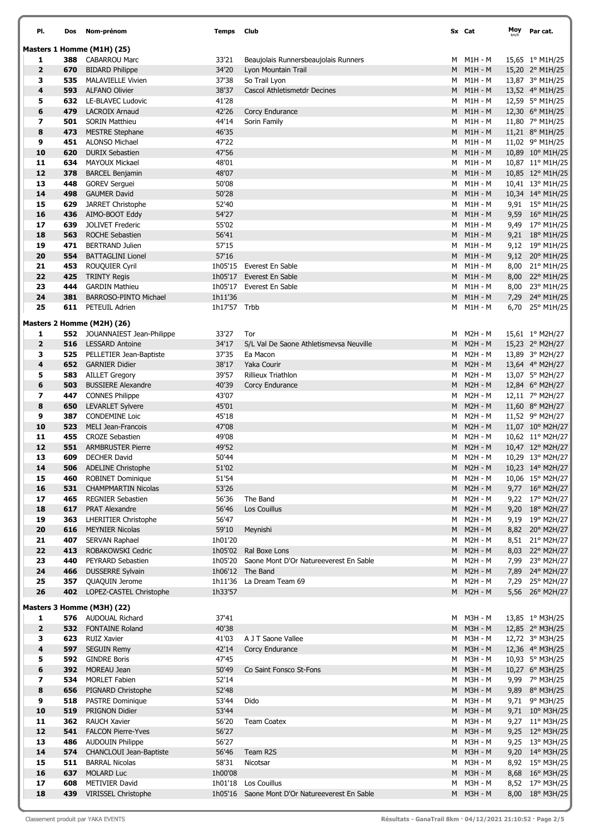| PI.                     | Dos | Nom-prénom                                       | <b>Temps</b> | Club                                                               |   | Sx Cat                      | Moy | Par cat.                           |
|-------------------------|-----|--------------------------------------------------|--------------|--------------------------------------------------------------------|---|-----------------------------|-----|------------------------------------|
|                         |     | Masters 1 Homme (M1H) (25)                       |              |                                                                    |   |                             |     |                                    |
| 1                       | 388 | <b>CABARROU Marc</b>                             | 33'21        | Beaujolais Runnersbeaujolais Runners                               | M | M1H - M                     |     | 15,65 1° M1H/25                    |
| $\overline{2}$          | 670 | <b>BIDARD Philippe</b>                           | 34'20        | Lyon Mountain Trail                                                | M | $M1H - M$                   |     | 15,20 2° M1H/25                    |
| з                       | 535 | <b>MALAVIELLE Vivien</b>                         | 37'38        | So Trail Lyon                                                      | M | M1H - M                     |     | 13,87 3° M1H/25                    |
| 4                       | 593 | <b>ALFANO Olivier</b>                            | 38'37        | Cascol Athletismetdr Decines                                       |   | $M$ $M1H - M$               |     | 13,52 4° M1H/25                    |
| 5                       | 632 | LE-BLAVEC Ludovic                                | 41'28        |                                                                    | М | M1H - M                     |     | 12,59 5° M1H/25                    |
| 6                       | 479 | <b>LACROIX Arnaud</b>                            | 42'26        | Corcy Endurance                                                    | M | $M1H - M$                   |     | 12,30 6° M1H/25                    |
| 7                       | 501 | <b>SORIN Matthieu</b>                            | 44'14        | Sorin Family                                                       | M | $M1H - M$                   |     | 11,80 7° M1H/25                    |
| 8                       | 473 | <b>MESTRE Stephane</b>                           | 46'35        |                                                                    | М | $M1H - M$                   |     | 11,21 8° M1H/25                    |
| 9                       | 451 | <b>ALONSO Michael</b>                            | 47'22        |                                                                    | м | $M1H - M$                   |     | 11,02 9° M1H/25                    |
| 10                      | 620 | <b>DURIX Sebastien</b>                           | 47'56        |                                                                    | M | $M1H - M$                   |     | 10,89 10° M1H/25                   |
| 11                      | 634 | <b>MAYOUX Mickael</b>                            | 48'01        |                                                                    | м | M1H - M                     |     | 10,87 11° M1H/25                   |
| 12                      | 378 | <b>BARCEL Benjamin</b>                           | 48'07        |                                                                    | M | $M1H - M$                   |     | 10,85 12° M1H/25                   |
| 13                      | 448 | <b>GOREV Serguei</b>                             | 50'08        |                                                                    | м | $M1H - M$                   |     | 10,41 13° M1H/25                   |
| 14                      | 498 | <b>GAUMER David</b>                              | 50'28        |                                                                    | М | $M1H - M$                   |     | 10,34 14° M1H/25                   |
| 15                      | 629 | JARRET Christophe                                | 52'40        |                                                                    | М | $M1H - M$                   |     | $9,91$ 15° M1H/25                  |
| 16                      | 436 | AIMO-BOOT Eddy                                   | 54'27        |                                                                    | M | $M1H - M$                   |     | 9,59 16° M1H/25                    |
| 17                      | 639 | <b>JOLIVET Frederic</b>                          | 55'02        |                                                                    | м | M1H - M                     |     | 9,49 17° M1H/25                    |
| 18                      | 563 | <b>ROCHE Sebastien</b>                           | 56'41        |                                                                    | M | $M1H - M$                   |     | 9,21 18° M1H/25                    |
| 19                      | 471 | <b>BERTRAND Julien</b>                           | 57'15        |                                                                    | м | $M1H - M$                   |     | 9,12 19° M1H/25                    |
| 20                      | 554 | <b>BATTAGLINI Lionel</b>                         | 57'16        |                                                                    | M | $M1H - M$                   |     | 9,12 20° M1H/25                    |
| 21                      | 453 | ROUQUIER Cyril                                   | 1h05'15      | Everest En Sable                                                   | М | $M1H - M$                   |     | 8,00 21° M1H/25                    |
| 22                      | 425 | <b>TRINTY Regis</b>                              | 1h05'17      | Everest En Sable                                                   | M | $M1H - M$                   |     | 8,00 22° M1H/25                    |
| 23                      | 444 | <b>GARDIN Mathieu</b>                            | 1h05'17      | Everest En Sable                                                   | м | $M1H - M$                   |     | 8,00 23° M1H/25                    |
| 24                      | 381 | <b>BARROSO-PINTO Michael</b>                     | 1h11'36      |                                                                    | M | $M1H - M$                   |     | 7,29 24° M1H/25                    |
| 25                      | 611 | PETEUIL Adrien                                   | 1h17'57 Trbb |                                                                    | м | $M1H - M$                   |     | 6,70 $25^{\circ}$ M1H/25           |
|                         |     | Masters 2 Homme (M2H) (26)                       |              |                                                                    |   |                             |     |                                    |
| 1                       |     | <b>552</b> JOUANNAIEST Jean-Philippe             | 33'27        | Tor                                                                | м | M2H - M                     |     | 15,61 1° M2H/27                    |
| $\overline{2}$          | 516 | <b>LESSARD Antoine</b>                           | 34'17        | S/L Val De Saone Athletismevsa Neuville                            | M | $M2H - M$                   |     | 15,23 2° M2H/27                    |
| з                       | 525 | PELLETIER Jean-Baptiste                          | 37'35        | Ea Macon                                                           | м | M2H - M                     |     | 13,89 3° M2H/27                    |
| 4                       | 652 | <b>GARNIER Didier</b>                            | 38'17        | Yaka Courir                                                        | М | $M2H - M$                   |     | 13,64 4° M2H/27                    |
| 5                       | 583 | <b>AILLET Gregory</b>                            | 39'57        | Rillieux Triathlon                                                 | м | <b>M2H - M</b>              |     | 13,07 5° M2H/27                    |
| 6                       | 503 | <b>BUSSIERE Alexandre</b>                        | 40'39        | Corcy Endurance                                                    | М | $M2H - M$                   |     | 12,84 6° M2H/27                    |
| 7                       | 447 | <b>CONNES Philippe</b>                           | 43'07        |                                                                    | м | <b>M2H - M</b>              |     | 12,11 7° M2H/27                    |
| 8                       | 650 | <b>LEVARLET Sylvere</b>                          | 45'01        |                                                                    | М | $M2H - M$                   |     | 11,60 8° M2H/27                    |
| 9                       | 387 | <b>CONDEMINE Loic</b>                            | 45'18        |                                                                    | M | <b>M2H - M</b>              |     | 11,52 $9^{\circ}$ M2H/27           |
| 10                      | 523 | MELI Jean-Francois                               | 47'08        |                                                                    | М | $M2H - M$                   |     | 11,07 10° M2H/27                   |
| 11                      | 455 | <b>CROZE Sebastien</b>                           | 49'08        |                                                                    | м | $M2H - M$                   |     | 10,62 11° M2H/27                   |
| 12                      | 551 | <b>ARMBRUSTER Pierre</b>                         | 49'52        |                                                                    | M | $M2H - M$                   |     | 10,47 12° M2H/27                   |
| 13                      | 609 | <b>DECHER David</b>                              | 50'44        |                                                                    | м | M2H - M                     |     | 10,29 13° M2H/27                   |
| 14                      |     | 506 ADELINE Christophe                           | 51'02        |                                                                    |   | M M2H-M                     |     | 10,23 14° M2H/27                   |
| 15                      | 460 | <b>ROBINET Dominique</b>                         | 51'54        |                                                                    |   | M M2H-M                     |     | 10,06 15° M2H/27                   |
| 16                      | 531 | <b>CHAMPMARTIN Nicolas</b>                       | 53'26        |                                                                    |   | M M2H-M                     |     | 9,77 16° M2H/27                    |
| 17                      | 465 | <b>REGNIER Sebastien</b>                         | 56'36        | The Band                                                           | м | <b>M2H - M</b>              |     | 9,22 17° M2H/27                    |
| 18                      | 617 | PRAT Alexandre                                   | 56'46        | Los Couillus                                                       | M | $M2H - M$                   |     | 9,20 18° M2H/27                    |
| 19                      | 363 | <b>LHERITIER Christophe</b>                      | 56'47        |                                                                    | м | M2H - M                     |     | 9,19 19° M2H/27                    |
| $20$                    | 616 | <b>MEYNIER Nicolas</b>                           | 59'10        | Meynishi                                                           |   | M M2H-M                     |     | 8,82 20° M2H/27                    |
| 21                      | 407 | <b>SERVAN Raphael</b>                            | 1h01'20      |                                                                    | М | <b>M2H - M</b>              |     | 8,51 21° M2H/27                    |
| 22                      | 413 | ROBAKOWSKI Cedric                                |              | 1h05'02 Ral Boxe Lons                                              | M | $M2H - M$                   |     | 8,03 22° M2H/27                    |
| 23<br>24                | 440 | PEYRARD Sebastien                                |              | 1h05'20 Saone Mont D'Or Natureeverest En Sable<br>1h06'12 The Band | M | <b>M2H - M</b><br>$M2H - M$ |     | 7,99 23° M2H/27                    |
|                         | 466 | <b>DUSSERRE Sylvain</b><br><b>QUAQUIN Jerome</b> |              | 1h11'36 La Dream Team 69                                           | M | <b>M2H - M</b>              |     | 7,89 24° M2H/27<br>7,29 25° M2H/27 |
| 25<br>26                | 357 | 402 LOPEZ-CASTEL Christophe                      | 1h33'57      |                                                                    | м | M M2H-M                     |     | 5,56 26° M2H/27                    |
|                         |     |                                                  |              |                                                                    |   |                             |     |                                    |
|                         |     | Masters 3 Homme (M3H) (22)                       |              |                                                                    |   |                             |     |                                    |
| 1                       |     | 576 AUDOUAL Richard                              | 37'41        |                                                                    | M | M3H - M                     |     | 13,85 1° M3H/25                    |
| $\overline{\mathbf{2}}$ | 532 | <b>FONTAINE Roland</b>                           | 40'38        |                                                                    | M | $M3H - M$                   |     | 12,85 2° M3H/25                    |
| з                       | 623 | <b>RUIZ Xavier</b>                               | 41'03        | A J T Saone Vallee                                                 | M | M3H - M                     |     | 12,72 3° M3H/25                    |
| 4                       | 597 | <b>SEGUIN Remy</b>                               | 42'14        | Corcy Endurance                                                    |   | M M3H-M                     |     | 12,36 4° M3H/25                    |
| 5                       | 592 | <b>GINDRE Boris</b>                              | 47'45        |                                                                    | M | M3H - M                     |     | 10,93 5° M3H/25                    |
| 6                       | 392 | MOREAU Jean                                      | 50'49        | Co Saint Fonsco St-Fons                                            | M | $M3H - M$                   |     | 10,27 6° M3H/25                    |
| 7                       | 534 | <b>MORLET Fabien</b>                             | 52'14        |                                                                    | M | M3H - M                     |     | 9,99 7° M3H/25                     |
| 8                       | 656 | PIGNARD Christophe                               | 52'48        |                                                                    | M | M3H - M                     |     | 9,89 8° M3H/25                     |
| 9                       | 518 | <b>PASTRE Dominique</b>                          | 53'44        | Dido                                                               | м | <b>M3H - M</b>              |     | 9,71 9° M3H/25                     |
| 10                      | 519 | PRIGNON Didier                                   | 53'44        |                                                                    | М | $M3H - M$                   |     | 9,71 10° M3H/25                    |
| 11                      | 362 | <b>RAUCH Xavier</b>                              | 56'20        | <b>Team Coatex</b>                                                 | м | <b>M3H - M</b>              |     | 9,27 11° M3H/25                    |
| 12                      | 541 | <b>FALCON Pierre-Yves</b>                        | 56'27        |                                                                    | M | M3H - M                     |     | 9,25 12° M3H/25                    |
| 13                      | 486 | <b>AUDOUIN Philippe</b>                          | 56'27        |                                                                    | м | <b>M3H - M</b>              |     | 9,25 13° M3H/25                    |
| 14                      | 574 | <b>CHANCLOUI Jean-Baptiste</b>                   | 56'46        | Team R2S                                                           | M | $M3H - M$                   |     | 9,20 14° M3H/25                    |
| 15                      | 511 | <b>BARRAL Nicolas</b>                            | 58'31        | Nicotsar                                                           | м | <b>M3H - M</b>              |     | 8,92 15° M3H/25                    |
| 16                      | 637 | <b>MOLARD Luc</b>                                | 1h00'08      |                                                                    | M | $M3H - M$                   |     | 8,68 16° M3H/25                    |
| 17                      | 608 | <b>METIVIER David</b>                            |              | 1h01'18 Los Couillus                                               | м | <b>M3H - M</b>              |     | 8,52 17° M3H/25                    |
| 18                      | 439 | VIRISSEL Christophe                              |              | 1h05'16 Saone Mont D'Or Natureeverest En Sable                     |   | M M3H-M                     |     | 8,00 18° M3H/25                    |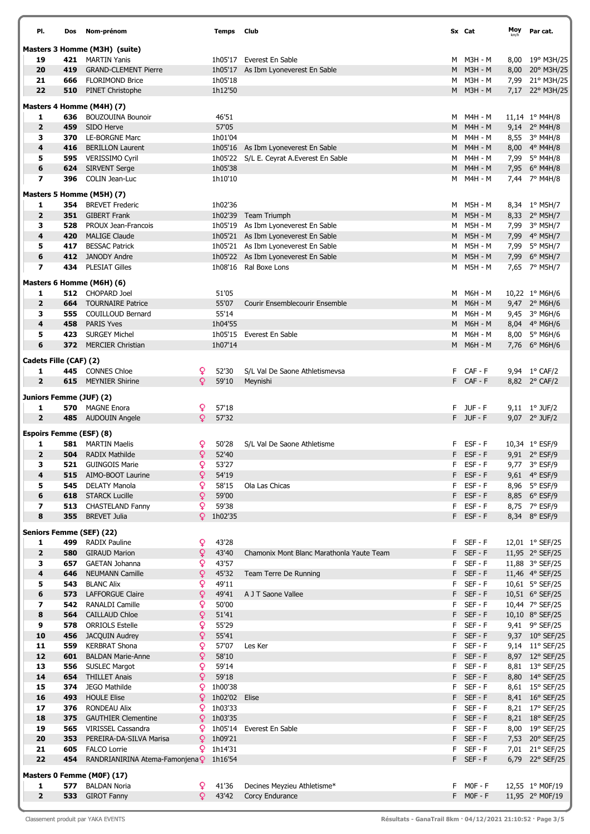| PI.                                 | Dos        | Nom-prénom                              |    | <b>Temps</b> Club |                                           |    | Sx Cat         | Moy | Par cat.                       |
|-------------------------------------|------------|-----------------------------------------|----|-------------------|-------------------------------------------|----|----------------|-----|--------------------------------|
|                                     |            | Masters 3 Homme (M3H) (suite)           |    |                   |                                           |    |                |     |                                |
| 19                                  | 421        | MARTIN Yanis                            |    |                   | 1h05'17 Everest En Sable                  |    | M M3H-M        |     | 8,00 19° M3H/25                |
| 20                                  | 419        | <b>GRAND-CLEMENT Pierre</b>             |    |                   | 1h05'17 As Ibm Lyoneverest En Sable       |    | M M3H-M        |     | 8,00 20° M3H/25                |
| 21                                  | 666        | <b>FLORIMOND Brice</b>                  |    | 1h05'18           |                                           |    | M M3H-M        |     | 7,99 21° M3H/25                |
| 22                                  | 510        | <b>PINET Christophe</b>                 |    | 1h12'50           |                                           |    | M M3H-M        |     | 7,17 22° M3H/25                |
|                                     |            |                                         |    |                   |                                           |    |                |     |                                |
|                                     |            | Masters 4 Homme (M4H) (7)               |    |                   |                                           |    |                |     |                                |
| 1                                   | 636        | <b>BOUZOUINA Bounoir</b>                |    | 46'51             |                                           |    | M M4H-M        |     | 11,14 1° M4H/8                 |
| $\overline{2}$                      | 459        | SIDO Herve                              |    | 57'05             |                                           | M  | M4H - M        |     | 9,14 2° M4H/8                  |
| з                                   | 370        | <b>LE-BORGNE Marc</b>                   |    | 1h01'04           |                                           | M  | M4H - M        |     | 8,55 3° M4H/8                  |
| 4                                   | 416        | <b>BERILLON Laurent</b>                 |    | 1h05'16           | As Ibm Lyoneverest En Sable               |    | M M4H-M        |     | 8,00 4° M4H/8                  |
| 5                                   |            | 595 VERISSIMO Cyril                     |    |                   | 1h05'22 S/L E. Ceyrat A. Everest En Sable | м  | M4H - M        |     | 7,99 5° M4H/8                  |
| 6                                   |            | <b>624</b> SIRVENT Serge                |    | 1h05'38           |                                           | M  | M4H - M        |     | 7,95 6° M4H/8                  |
| $\overline{ }$                      | 396        | COLIN Jean-Luc                          |    | 1h10'10           |                                           | М  | M4H - M        |     | 7,44 7° M4H/8                  |
|                                     |            | Masters 5 Homme (M5H) (7)               |    |                   |                                           |    |                |     |                                |
| 1                                   |            | <b>354</b> BREVET Frederic              |    | 1h02'36           |                                           | м  | M5H - M        |     | 8,34 1° M5H/7                  |
| $\overline{2}$                      | 351        | <b>GIBERT Frank</b>                     |    |                   | 1h02'39 Team Triumph                      | м  | <b>M5H - M</b> |     | 8,33 2° M5H/7                  |
| з                                   | 528        | PROUX Jean-Francois                     |    |                   | 1h05'19 As Ibm Lyoneverest En Sable       | M  | M5H - M        |     | 7,99 3° M5H/7                  |
| 4                                   | 420        | <b>MALIGE Claude</b>                    |    |                   | 1h05'21 As Ibm Lyoneverest En Sable       | M  | <b>M5H - M</b> |     | 7,99 4° M5H/7                  |
| 5                                   | 417        | <b>BESSAC Patrick</b>                   |    |                   | 1h05'21 As Ibm Lyoneverest En Sable       | M  | <b>M5H - M</b> |     | 7,99 5° M5H/7                  |
| 6                                   | 412        | JANODY Andre                            |    |                   | 1h05'22 As Ibm Lyoneverest En Sable       | М  | <b>M5H - M</b> |     | 7,99 6° M5H/7                  |
| 7                                   | 434        | <b>PLESIAT Gilles</b>                   |    |                   | 1h08'16 Ral Boxe Lons                     |    | M M5H-M        |     | 7,65 7° M5H/7                  |
|                                     |            |                                         |    |                   |                                           |    |                |     |                                |
|                                     |            | Masters 6 Homme (M6H) (6)               |    |                   |                                           |    |                |     |                                |
| 1                                   |            | 512 CHOPARD Joel                        |    | 51'05             |                                           | M  | M6H - M        |     | 10,22 1° M6H/6                 |
| $\overline{2}$                      | 664        | <b>TOURNAIRE Patrice</b>                |    | 55'07             | Courir Ensemblecourir Ensemble            |    | M M6H-M        |     | 9,47 2° M6H/6                  |
| з                                   | 555        | COUILLOUD Bernard                       |    | 55'14             |                                           | M  | M6H - M        |     | 9,45 3° M6H/6                  |
| 4                                   | 458        | <b>PARIS Yves</b>                       |    | 1h04'55           |                                           | M  | <b>M6H - M</b> |     | 8,04 4° M6H/6                  |
| 5                                   |            | 423 SURGEY Michel                       |    | 1h05'15           | Everest En Sable                          | м  | M6H - M        |     | 8,00 5° M6H/6                  |
| 6                                   |            | 372 MERCIER Christian                   |    | 1h07'14           |                                           |    | M M6H-M        |     | 7,76 6° M6H/6                  |
| Cadets Fille (CAF) (2)              |            |                                         |    |                   |                                           |    |                |     |                                |
| 1                                   |            | 445 CONNES Chloe                        | Q  | 52'30             | S/L Val De Saone Athletismevsa            |    | F CAF-F        |     | 9,94 1° CAF/2                  |
| $\overline{2}$                      |            | <b>615</b> MEYNIER Shirine              | Q  | 59'10             | Meynishi                                  |    | F CAF-F        |     | 8,82 2° CAF/2                  |
|                                     |            |                                         |    |                   |                                           |    |                |     |                                |
| Juniors Femme (JUF) (2)             |            |                                         |    |                   |                                           |    |                |     |                                |
| 1                                   |            | <b>570</b> MAGNE Enora                  | Q  | 57'18             |                                           |    | F JUF-F        |     | $9,11 \quad 1^{\circ}$ JUF/2   |
| $\overline{\mathbf{2}}$             |            | 485 AUDOUIN Angele                      | Q  | 57'32             |                                           |    | F JUF-F        |     | 9,07 2° JUF/2                  |
|                                     |            |                                         |    |                   |                                           |    |                |     |                                |
| <b>Espoirs Femme (ESF) (8)</b><br>1 |            | <b>581</b> MARTIN Maelis                | Q  | 50'28             | S/L Val De Saone Athletisme               | F. | ESF - F        |     | 10,34 1° ESF/9                 |
| $\overline{2}$                      |            | <b>504</b> RADIX Mathilde               | Q  | 52'40             |                                           | F. | ESF - F        |     | 9,91 2° ESF/9                  |
| 3.                                  |            | 521 GUINGOIS Marie                      | Q. | 53'27             |                                           |    | F ESF-F        |     | 9,77 3° ESF/9                  |
| 4                                   |            | AIMO-BOOT Laurine                       | Q  |                   |                                           |    | F ESF-F        |     | 9,61 4° ESF/9                  |
|                                     | 515<br>545 | DELATY Manola                           | Q. | 54'19<br>58'15    |                                           |    | F ESF-F        |     |                                |
| 5                                   |            | <b>618</b> STARCK Lucille               | Q  | 59'00             | Ola Las Chicas                            | F. | $EST - F$      |     | 8,96 5° ESF/9                  |
| 6                                   |            | 513 CHASTELAND Fanny                    | Q  | 59'38             |                                           |    | F ESF-F        |     | 8,85 6° ESF/9                  |
| 7<br>8                              | 355        | <b>BREVET Julia</b>                     |    | $9$ 1h02'35       |                                           |    | F ESF-F        |     | 8,75 7° ESF/9<br>8,34 8° ESF/9 |
|                                     |            |                                         |    |                   |                                           |    |                |     |                                |
|                                     |            | Seniors Femme (SEF) (22)                |    |                   |                                           |    |                |     |                                |
| 1                                   | 499        | <b>RADIX Pauline</b>                    | Q  | 43'28             |                                           | F. | SEF-F          |     | 12,01 1° SEF/25                |
| $\overline{\mathbf{2}}$             | 580        | <b>GIRAUD Marion</b>                    | Q  | 43'40             | Chamonix Mont Blanc Marathonla Yaute Team |    | F SEF-F        |     | 11,95 2° SEF/25                |
| з                                   |            | 657 GAETAN Johanna                      | Q  | 43'57             |                                           |    | F SEF-F        |     | 11,88 3° SEF/25                |
| 4                                   | 646        | <b>NEUMANN Camille</b>                  | Q  | 45'32             | Team Terre De Running                     |    | F SEF-F        |     | 11,46 4° SEF/25                |
| 5                                   | 543        | <b>BLANC Alix</b>                       | Q  | 49'11             |                                           |    | F SEF-F        |     | 10,61 5° SEF/25                |
| 6                                   | 573        | <b>LAFFORGUE Claire</b>                 | Q  | 49'41             | A J T Saone Vallee                        |    | F SEF-F        |     | 10,51 6° SEF/25                |
| 7                                   | 542        | RANALDI Camille                         | Q  | 50'00             |                                           |    | F SEF-F        |     | 10,44 7° SEF/25                |
| 8                                   | 564        | <b>CAILLAUD Chloe</b>                   | Q  | 51'41             |                                           |    | F SEF-F        |     | 10,10 8° SEF/25                |
| 9                                   | 578        | <b>ORRIOLS Estelle</b>                  | Q  | 55'29             |                                           | F. | SEF-F          |     | 9,41 9° SEF/25                 |
| 10                                  | 456        | <b>JACQUIN Audrey</b>                   | Q  | 55'41             |                                           |    | F SEF-F        |     | 9,37 10° SEF/25                |
| 11                                  | 559        | <b>KERBRAT Shona</b>                    | Q  | 57'07             | Les Ker                                   |    | F SEF-F        |     | 9,14 11° SEF/25                |
| 12                                  | 601        | <b>BALDAN Marie-Anne</b>                | ¥  | 58'10             |                                           |    | F SEF-F        |     | 8,97 12° SEF/25                |
| 13                                  | 556        | <b>SUSLEC Margot</b>                    | Q  | 59'14             |                                           |    | $F$ SEF-F      |     | 8,81 13° SEF/25                |
| 14                                  | 654        | <b>THILLET Anais</b>                    | Q  | 59'18             |                                           |    | F SEF-F        |     | 8,80 14° SEF/25                |
| 15                                  | 374        | JEGO Mathilde                           | Q. | 1h00'38           |                                           |    | F SEF-F        |     | 8,61 15° SEF/25                |
| 16                                  | 493        | <b>HOULE Elise</b>                      | Q. | 1h02'02           | Elise                                     |    | F SEF-F        |     | 8,41 16° SEF/25                |
| 17                                  | 376        | <b>RONDEAU Alix</b>                     | Q. | 1h03'33           |                                           |    | F SEF-F        |     | 8,21 17° SEF/25                |
| 18                                  | 375        | <b>GAUTHIER Clementine</b>              | Q. | 1h03'35           |                                           |    | F SEF-F        |     | 8,21 18° SEF/25                |
| 19                                  |            | <b>565</b> VIRISSEL Cassandra           |    |                   | 9 1h05'14 Everest En Sable                |    | F SEF-F        |     | 8,00 19° SEF/25                |
| 20                                  | 353        | PEREIRA-DA-SILVA Marisa                 | Q. | 1h09'21           |                                           |    | F SEF-F        |     | 7,53 20° SEF/25                |
| 21                                  | 605        | <b>FALCO Lorrie</b>                     |    | $9$ 1h14'31       |                                           |    | F SEF-F        |     | 7,01 21° SEF/25                |
| 22                                  | 454        | RANDRIANIRINA Atema-Famonjena ? 1h16'54 |    |                   |                                           |    | F SEF-F        |     | 6,79 22° SEF/25                |
|                                     |            |                                         |    |                   |                                           |    |                |     |                                |
|                                     |            | Masters 0 Femme (M0F) (17)              |    |                   |                                           |    |                |     |                                |
| 1                                   | 577        | <b>BALDAN Noria</b>                     | Q  | 41'36             | Decines Meyzieu Athletisme*               | F. | $MOF - F$      |     | 12,55 1° MOF/19                |
| $\overline{2}$                      |            | 533 GIROT Fanny                         | Q. | 43'42             | Corcy Endurance                           |    | F MOF-F        |     | 11,95 2° MOF/19                |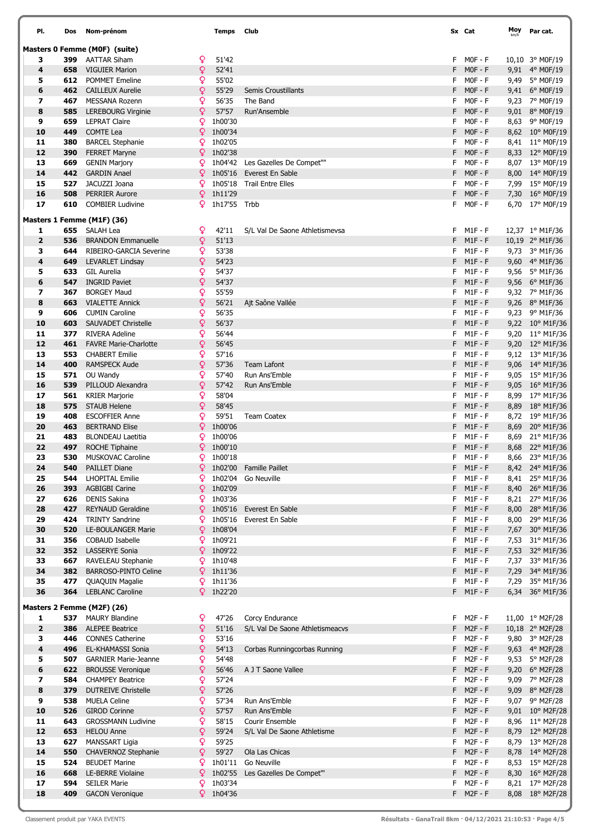| PI.            | Dos        | Nom-prénom                                         |          | Temps          | Club                                         |         | Sx Cat                 | Moy  | Par cat.                           |
|----------------|------------|----------------------------------------------------|----------|----------------|----------------------------------------------|---------|------------------------|------|------------------------------------|
|                |            | Masters 0 Femme (MOF) (suite)                      |          |                |                                              |         |                        |      |                                    |
| з              | 399        | <b>AATTAR Siham</b>                                | Q.       | 51'42          |                                              | F.      | MOF - F                |      | 10,10 3° MOF/19                    |
| 4              | 658        | <b>VIGUIER Marion</b>                              | ¥        | 52'41          |                                              | F.      | $MOF - F$              |      | 9,91 4° M0F/19                     |
| 5              | 612        | <b>POMMET Emeline</b>                              | Q.       | 55'02          |                                              | F       | $MOF - F$              |      | 9,49 5° MOF/19                     |
| 6              | 462        | <b>CAILLEUX Aurelie</b>                            | Q.       | 55'29          | Semis Croustillants                          | F.      | $MOF - F$              |      | 9,41 6° MOF/19                     |
| 7<br>8         | 467<br>585 | MESSANA Rozenn                                     | Q.       | 56'35<br>57'57 | The Band<br>Run'Ansemble                     | F<br>F  | $MOF - F$<br>$MOF - F$ |      | 9,23 7° MOF/19                     |
| 9              | 659        | <b>LEREBOURG Virginie</b><br><b>LEPRAT Claire</b>  | ¥<br>Q.  | 1h00'30        |                                              | F       | $MOF - F$              |      | 9,01 8° MOF/19<br>8,63 9° M0F/19   |
| 10             | 449        | <b>COMTE Lea</b>                                   | Q        | 1h00'34        |                                              | F       | $MOF - F$              |      | 8,62 10° M0F/19                    |
| 11             | 380        | <b>BARCEL Stephanie</b>                            | Q.       | 1h02'05        |                                              | F       | $MOF - F$              |      | 8,41 11° M0F/19                    |
| 12             | 390        | <b>FERRET Maryne</b>                               | Q.       | 1h02'38        |                                              | F       | $MOF - F$              |      | 8,33 12° M0F/19                    |
| 13             | 669        | <b>GENIN Marjory</b>                               | Q.       |                | 1h04'42 Les Gazelles De Compet""             | F       | $MOF - F$              |      | 8,07 13° M0F/19                    |
| 14             | 442        | <b>GARDIN Anael</b>                                | Q        |                | 1h05'16 Everest En Sable                     | F       | $MOF - F$              |      | 8,00 14° M0F/19                    |
| 15             | 527        | JACUZZI Joana                                      | Q        |                | 1h05'18 Trail Entre Elles                    | F       | $MOF - F$              |      | 7,99 15° M0F/19                    |
| 16             | 508        | <b>PERRIER Aurore</b>                              | Q.       | 1h11'29        |                                              | F       | $MOF - F$              |      | 7,30 16° M0F/19                    |
| 17             | 610        | <b>COMBIER Ludivine</b>                            | Q        | 1h17'55 Trbb   |                                              | F.      | MOF - F                |      | 6,70 17° M0F/19                    |
|                |            | Masters 1 Femme (M1F) (36)                         |          |                |                                              |         |                        |      |                                    |
| 1              |            | 655 SALAH Lea                                      | Q        | 42'11          | S/L Val De Saone Athletismevsa               | F.      | M1F - F                |      | 12,37 1° M1F/36                    |
| $\overline{2}$ | 536        | <b>BRANDON Emmanuelle</b>                          | Q.       | 51'13          |                                              | F.      | $M1F - F$              |      | 10,19 2° M1F/36                    |
| з              | 644        | RIBEIRO-GARCIA Severine                            | Q.       | 53'38          |                                              |         | $F$ M1F-F              |      | 9,73 3° M1F/36                     |
| 4              | 649        | <b>LEVARLET Lindsay</b>                            | ò        | 54'23          |                                              |         | $F$ M1F-F              |      | 9,60 4° M1F/36                     |
| 5              | 633        | <b>GIL Aurelia</b>                                 | Q.       | 54'37          |                                              | F.      | M1F - F                |      | 9,56 5° M1F/36                     |
| 6              | 547        | <b>INGRID Paviet</b>                               | ò        | 54'37          |                                              |         | $F$ M1F-F              |      | 9,56 $6^{\circ}$ M1F/36            |
| 7              | 367        | <b>BORGEY Maud</b>                                 | Q        | 55'59          |                                              | F.      | M1F - F                |      | 9,32 7° M1F/36                     |
| 8              | 663        | <b>VIALETTE Annick</b>                             | Q        | 56'21          | Ajt Saône Vallée                             | F       | $M1F - F$              |      | 9,26 8° M1F/36                     |
| 9              | 606        | <b>CUMIN Caroline</b>                              | Q        | 56'35          |                                              | F       | $M1F - F$              |      | 9,23 9° M1F/36                     |
| 10             | 603        | <b>SAUVADET Christelle</b>                         | Q        | 56'37          |                                              | F.      | $M1F - F$              |      | 9,22 10° M1F/36                    |
| 11             | 377        | <b>RIVERA Adeline</b>                              | Q        | 56'44          |                                              | F.      | M1F - F                |      | 9,20 11° M1F/36                    |
| 12             | 461        | <b>FAVRE Marie-Charlotte</b>                       | ò        | 56'45<br>57'16 |                                              | F       | $M1F - F$              |      | 9,20 12° M1F/36                    |
| 13<br>14       | 553<br>400 | <b>CHABERT Emilie</b><br><b>RAMSPECK Aude</b>      | Q.<br>Q. | 57'36          | <b>Team Lafont</b>                           | F       | $M1F - F$<br>$F$ M1F-F |      | 9,12 13° M1F/36<br>9,06 14° M1F/36 |
| 15             | 571        | OU Wandy                                           | Q        | 57'40          | Run Ans'Emble                                | F       | M1F - F                |      | 9,05 15° M1F/36                    |
| 16             | 539        | PILLOUD Alexandra                                  | ¥        | 57'42          | Run Ans'Emble                                | F       | $M1F - F$              |      | 9,05 16° M1F/36                    |
| 17             | 561        | <b>KRIER Marjorie</b>                              | Q.       | 58'04          |                                              | F       | $M1F - F$              |      | 8,99 17° M1F/36                    |
| 18             | 575        | <b>STAUB Helene</b>                                | Q.       | 58'45          |                                              | F.      | $M1F - F$              |      | 8,89 18° M1F/36                    |
| 19             | 408        | <b>ESCOFFIER Anne</b>                              | Q        | 59'51          | <b>Team Coatex</b>                           | F.      | M1F - F                |      | 8,72 19° M1F/36                    |
| 20             | 463        | <b>BERTRAND Elise</b>                              | Q.       | 1h00'06        |                                              | F       | $M1F - F$              |      | 8,69 20° M1F/36                    |
| 21             | 483        | <b>BLONDEAU Laetitia</b>                           | Q.       | 1h00'06        |                                              | F       | $M1F - F$              |      | 8,69 21° M1F/36                    |
| 22             | 497        | ROCHE Tiphaine                                     | Q.       | 1h00'10        |                                              |         | $F$ M1F-F              |      | 8,68 22° M1F/36                    |
| 23             | 530        | <b>MUSKOVAC Caroline</b>                           | Q.       | 1h00'18        |                                              |         | $F$ M1F-F              |      | 8,66 23° M1F/36                    |
| 24             |            | 540 PAILLET Diane                                  |          |                | 9 1h02'00 Famille Paillet                    |         | $F$ M1F-F              |      | 8,42 24° M1F/36                    |
| 25             | 544        | <b>LHOPITAL Emilie</b>                             | Q.       |                | 1h02'04 Go Neuville                          |         | $F$ M1F-F              |      | 8,41 25° M1F/36                    |
| 26             | 393        | <b>AGBIGBI Carine</b>                              | Q.       | 1h02'09        |                                              | F.      | $M1F - F$              |      | 8,40 26° M1F/36                    |
| 27             | 626        | <b>DENIS Sakina</b>                                | Q.       | 1h03'36        |                                              | F       | $M1F - F$              |      | 8,21 27° M1F/36                    |
| 28<br>29       | 427<br>424 | <b>REYNAUD Geraldine</b><br><b>TRINTY Sandrine</b> | ₽<br>Q.  | 1h05'16        | Everest En Sable<br>1h05'16 Everest En Sable | F<br>F  | $M1F - F$<br>$M1F - F$ | 8,00 | 8,00 28° M1F/36<br>29° M1F/36      |
| 30             | 520        | LE-BOULANGER Marie                                 | Q.       | 1h08'04        |                                              | F.      | $M1F - F$              | 7,67 | 30° M1F/36                         |
| 31             | 356        | COBAUD Isabelle                                    | Q.       | 1h09'21        |                                              | F       | $M1F - F$              |      | 7,53 31° M1F/36                    |
| 32             | 352        | <b>LASSERYE Sonia</b>                              | Q.       | 1h09'22        |                                              | F       | $M1F - F$              |      | 7,53 32° M1F/36                    |
| 33             | 667        | RAVELEAU Stephanie                                 |          | $9$ 1h10'48    |                                              | F.      | $M1F - F$              |      | 7,37 33° M1F/36                    |
| 34             | 382        | <b>BARROSO-PINTO Celine</b>                        | Q.       | 1h11'36        |                                              | F.      | $M1F - F$              |      | 7,29 34° M1F/36                    |
| 35             | 477        | <b>QUAQUIN Magalie</b>                             |          | $9$ 1h11'36    |                                              | F.      | $M1F - F$              |      | 7,29 35° M1F/36                    |
| 36             | 364        | <b>LEBLANC Caroline</b>                            | Q.       | 1h22'20        |                                              | F.      | $M1F - F$              |      | 6,34 36° M1F/36                    |
|                |            | Masters 2 Femme (M2F) (26)                         |          |                |                                              |         |                        |      |                                    |
| 1              | 537        | <b>MAURY Blandine</b>                              | Q.       | 47'26          | Corcy Endurance                              | F.      | M2F - F                |      | 11,00 1° M2F/28                    |
| $\overline{2}$ | 386        | <b>ALEPEE Beatrice</b>                             | Q.       | 51'16          | S/L Val De Saone Athletismeacvs              | F       | $M2F - F$              |      | 10,18 2° M2F/28                    |
| з              | 446        | <b>CONNES Catherine</b>                            | Q.       | 53'16          |                                              | F       | $M2F - F$              |      | 9,80 3° M2F/28                     |
| 4              | 496        | EL-KHAMASSI Sonia                                  | Q.       | 54'13          | Corbas Runningcorbas Running                 | F.      | <b>M2F - F</b>         |      | 9,63 4° M2F/28                     |
| 5              | 507        | <b>GARNIER Marie-Jeanne</b>                        | Q.       | 54'48          |                                              | F.      | M2F - F                |      | 9,53 5° M2F/28                     |
| 6              | 622        | <b>BROUSSE Veronique</b>                           | Q.       | 56'46          | A J T Saone Vallee                           | F       | $M2F - F$              |      | 9,20 6° M2F/28                     |
| 7              | 584        | <b>CHAMPEY Beatrice</b>                            | Q.       | 57'24          |                                              | F.      | $M2F - F$              |      | 9,09 7° M2F/28                     |
| 8              | 379        | <b>DUTREIVE Christelle</b>                         | Q.       | 57'26          |                                              | F.      | $M2F - F$              |      | 9,09 8° M2F/28                     |
| 9              | 538        | <b>MUELA Celine</b>                                | Q.       | 57'34          | Run Ans'Emble                                | F       | $M2F - F$              |      | 9,07 9° M2F/28                     |
| 10             | 526        | <b>GIROD Corinne</b>                               | Q        | 57'57          | Run Ans'Emble                                | F       | $M2F - F$              |      | 9,01 10° M2F/28                    |
| 11             | 643        | <b>GROSSMANN Ludivine</b>                          | Q        | 58'15          | Courir Ensemble                              | F       | $M2F - F$              |      | 8,96 11° M2F/28                    |
| 12             | 653        | <b>HELOU Anne</b>                                  | Q.       | 59'24          | S/L Val De Saone Athletisme                  | F.      | $M2F - F$              |      | 8,79 12° M2F/28                    |
| 13             | 627        | <b>MANSSART Ligia</b>                              | Q.       | 59'25          |                                              | F       | $M2F - F$<br>$M2F - F$ |      | 8,79 13° M2F/28                    |
| 14<br>15       | 550<br>524 | CHAVERNOZ Stephanie<br><b>BEUDET Marine</b>        | Q.<br>Q. | 59'27          | Ola Las Chicas<br>1h01'11 Go Neuville        | F<br>F. | M2F - F                |      | 8,78 14° M2F/28<br>8,53 15° M2F/28 |
| 16             | 668        | LE-BERRE Violaine                                  | Q        |                | 1h02'55 Les Gazelles De Compet"              | F       | $M2F - F$              |      | 8,30 16° M2F/28                    |
| 17             | 594        | <b>SEILER Marie</b>                                | Q.       | 1h03'34        |                                              | F       | $M2F - F$              |      | 8,21 17° M2F/28                    |
| 18             | 409        | <b>GACON Veronique</b>                             |          | $9$ 1h04'36    |                                              |         | $F$ M2F - $F$          |      | 8,08 18° M2F/28                    |